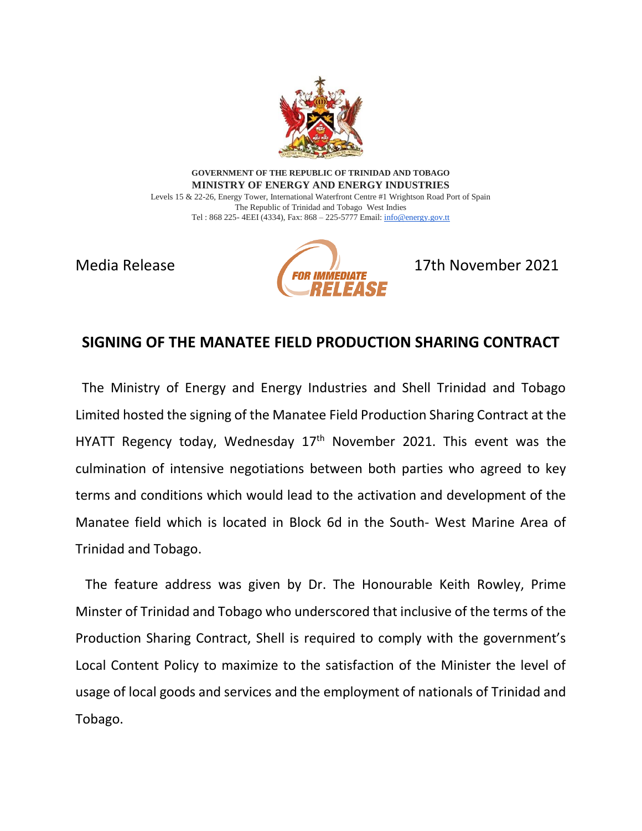

**GOVERNMENT OF THE REPUBLIC OF TRINIDAD AND TOBAGO MINISTRY OF ENERGY AND ENERGY INDUSTRIES** Levels 15 & 22-26, Energy Tower, International Waterfront Centre #1 Wrightson Road Port of Spain The Republic of Trinidad and Tobago West Indies

Tel : 868 225- 4EEI (4334), Fax: 868 – 225-5777 Email[: info@energy.gov.tt](mailto:info@energy.gov.tt)



## **SIGNING OF THE MANATEE FIELD PRODUCTION SHARING CONTRACT**

 The Ministry of Energy and Energy Industries and Shell Trinidad and Tobago Limited hosted the signing of the Manatee Field Production Sharing Contract at the HYATT Regency today, Wednesday  $17<sup>th</sup>$  November 2021. This event was the culmination of intensive negotiations between both parties who agreed to key terms and conditions which would lead to the activation and development of the Manatee field which is located in Block 6d in the South- West Marine Area of Trinidad and Tobago.

 The feature address was given by Dr. The Honourable Keith Rowley, Prime Minster of Trinidad and Tobago who underscored that inclusive of the terms of the Production Sharing Contract, Shell is required to comply with the government's Local Content Policy to maximize to the satisfaction of the Minister the level of usage of local goods and services and the employment of nationals of Trinidad and Tobago.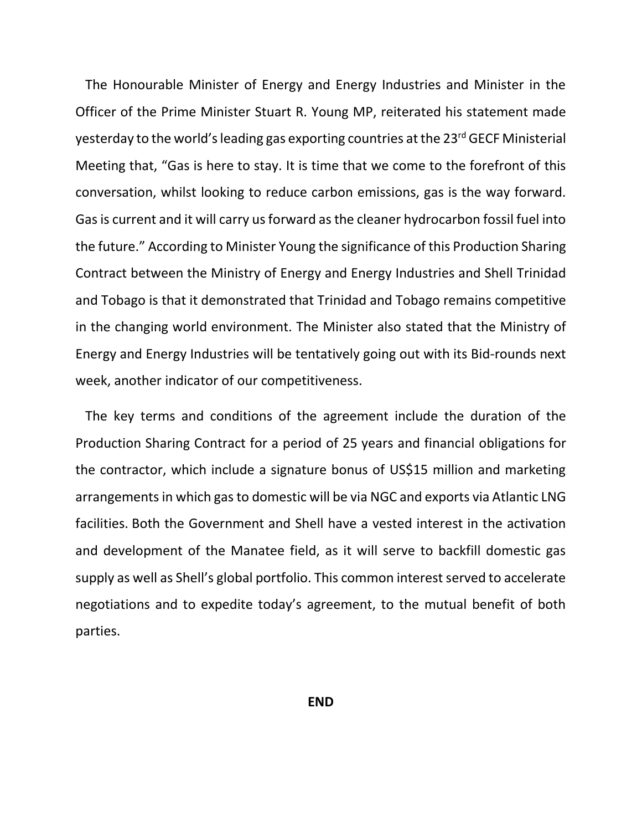The Honourable Minister of Energy and Energy Industries and Minister in the Officer of the Prime Minister Stuart R. Young MP, reiterated his statement made yesterday to the world's leading gas exporting countries at the 23<sup>rd</sup> GECF Ministerial Meeting that, "Gas is here to stay. It is time that we come to the forefront of this conversation, whilst looking to reduce carbon emissions, gas is the way forward. Gas is current and it will carry us forward as the cleaner hydrocarbon fossil fuel into the future." According to Minister Young the significance of this Production Sharing Contract between the Ministry of Energy and Energy Industries and Shell Trinidad and Tobago is that it demonstrated that Trinidad and Tobago remains competitive in the changing world environment. The Minister also stated that the Ministry of Energy and Energy Industries will be tentatively going out with its Bid-rounds next week, another indicator of our competitiveness.

 The key terms and conditions of the agreement include the duration of the Production Sharing Contract for a period of 25 years and financial obligations for the contractor, which include a signature bonus of US\$15 million and marketing arrangements in which gas to domestic will be via NGC and exports via Atlantic LNG facilities. Both the Government and Shell have a vested interest in the activation and development of the Manatee field, as it will serve to backfill domestic gas supply as well as Shell's global portfolio. This common interest served to accelerate negotiations and to expedite today's agreement, to the mutual benefit of both parties.

**END**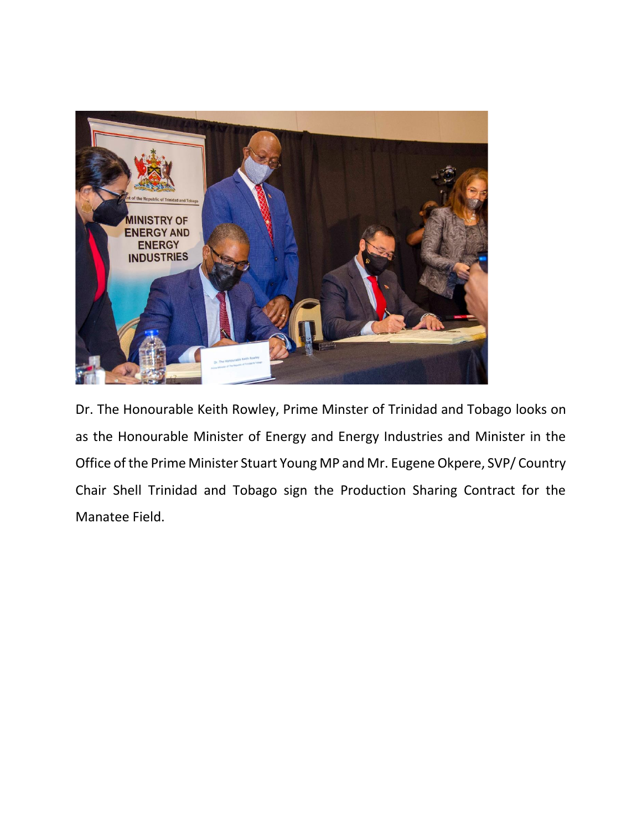

Dr. The Honourable Keith Rowley, Prime Minster of Trinidad and Tobago looks on as the Honourable Minister of Energy and Energy Industries and Minister in the Office of the Prime Minister Stuart Young MP and Mr. Eugene Okpere, SVP/ Country Chair Shell Trinidad and Tobago sign the Production Sharing Contract for the Manatee Field.